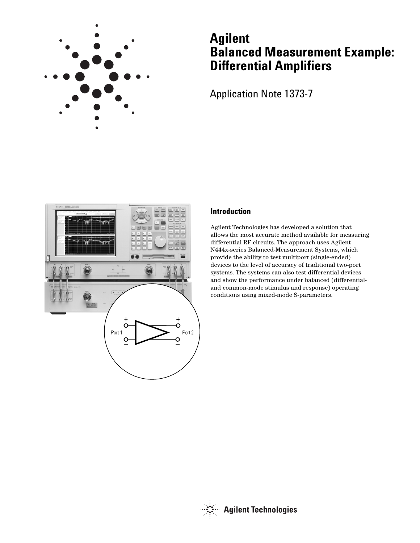

# **Agilent Balanced Measurement Example: Differential Amplifiers**

Application Note 1373-7



## **Introduction**

Agilent Technologies has developed a solution that allows the most accurate method available for measuring differential RF circuits. The approach uses Agilent N444x-series Balanced-Measurement Systems, which provide the ability to test multiport (single-ended) devices to the level of accuracy of traditional two-port systems. The systems can also test differential devices and show the performance under balanced (differentialand common-mode stimulus and response) operating conditions using mixed-mode S-parameters.

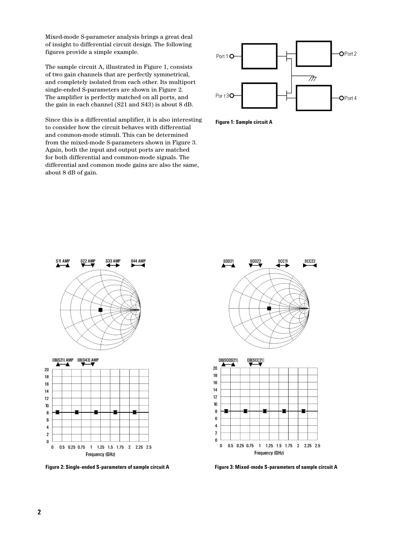Mixed-mode S-parameter analysis brings a great deal of insight to differential circuit design. The following figures provide a simple example.

The sample circuit A, illustrated in Figure 1, consists of two gain channels that are perfectly symmetrical, and completely isolated from each other. Its multiport single-ended S-parameters are shown in Figure 2. The amplifier is perfectly matched on all ports, and the gain in each channel (S21 and S43) is about 8 dB.

Since this is a differential amplifier, it is also interesting to consider how the circuit behaves with differential and common-mode stimuli. This can be determined from the mixed-mode S-parameters shown in Figure 3. Again, both the input and output ports are matched for both differential and common-mode signals. The differential and common mode gains are also the same, about 8 dB of gain.







 $\overline{\mathbf{4}}$  $\overline{\mathbf{c}}$ O  $\pmb{0}$ 0.5 0.25 0.75 1 1.25 1.5 1.75 2 2.25 2.5 Frequency (GHz)

**Figure 2: Single-ended S-parameters of sample circuit A Figure 3: Mixed-mode S-parameters of sample circuit A**



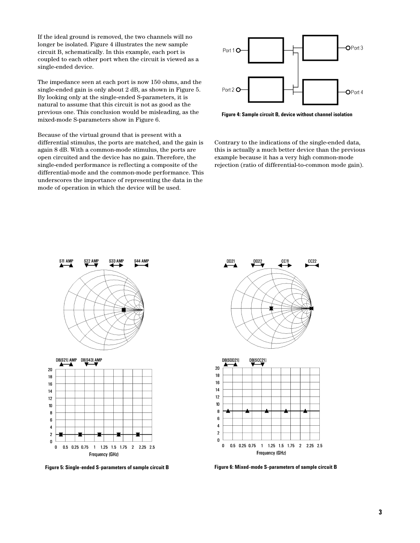If the ideal ground is removed, the two channels will no longer be isolated. Figure 4 illustrates the new sample circuit B, schematically. In this example, each port is coupled to each other port when the circuit is viewed as a single-ended device.

The impedance seen at each port is now 150 ohms, and the single-ended gain is only about 2 dB, as shown in Figure 5. By looking only at the single-ended S-parameters, it is natural to assume that this circuit is not as good as the previous one. This conclusion would be misleading, as the mixed-mode S-parameters show in Figure 6.

Because of the virtual ground that is present with a differential stimulus, the ports are matched, and the gain is again 8 dB. With a common-mode stimulus, the ports are open circuited and the device has no gain. Therefore, the single-ended performance is reflecting a composite of the differential-mode and the common-mode performance. This underscores the importance of representing the data in the mode of operation in which the device will be used.



**Figure 4: Sample circuit B, device without channel isolation**

Contrary to the indications of the single-ended data, this is actually a much better device than the previous example because it has a very high common-mode rejection (ratio of differential-to-common mode gain).



**Figure 5: Single-ended S-parameters of sample circuit B Figure 6: Mixed-mode S-parameters of sample circuit B**



Frequency (GHz)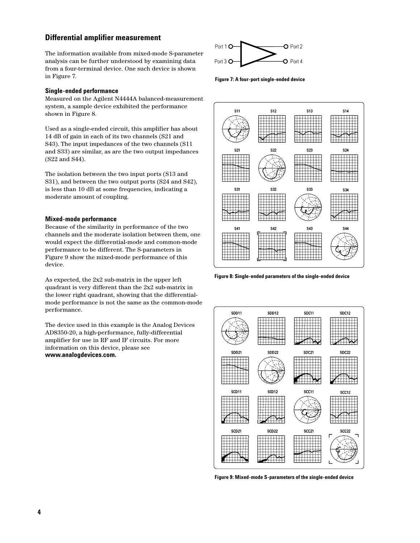## **Differential amplifier measurement**

The information available from mixed-mode S-parameter analysis can be further understood by examining data from a four-terminal device. One such device is shown in Figure 7.

#### **Single-ended performance**

Measured on the Agilent N4444A balanced-measurement system, a sample device exhibited the performance shown in Figure 8.

Used as a single-ended circuit, this amplifier has about 14 dB of gain in each of its two channels (S21 and S43). The input impedances of the two channels (S11 and S33) are similar, as are the two output impedances (S22 and S44).

The isolation between the two input ports (S13 and S31), and between the two output ports (S24 and S42), is less than 10 dB at some frequencies, indicating a moderate amount of coupling.

#### **Mixed-mode performance**

Because of the similarity in performance of the two channels and the moderate isolation between them, one would expect the differential-mode and common-mode performance to be different. The S-parameters in Figure 9 show the mixed-mode performance of this device.

As expected, the 2x2 sub-matrix in the upper left quadrant is very different than the 2x2 sub-matrix in the lower right quadrant, showing that the differentialmode performance is not the same as the common-mode performance.

The device used in this example is the Analog Devices AD8350-20, a high-performance, fully-differential amplifier for use in RF and IF circuits. For more information on this device, please see **www.analogdevices.com.**



**Figure 7: A four-port single-ended device**



**Figure 8: Single-ended parameters of the single-ended device**



**Figure 9: Mixed-mode S-parameters of the single-ended device**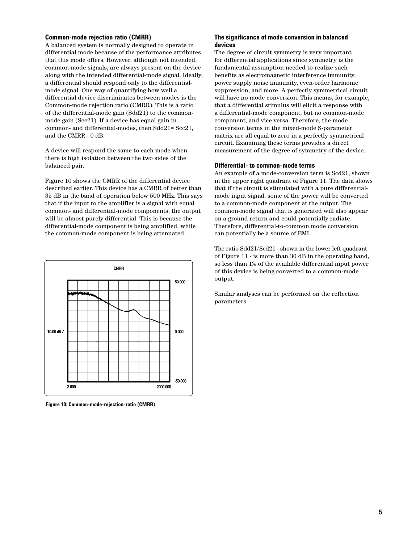#### **Common-mode rejection ratio (CMRR)**

A balanced system is normally designed to operate in differential mode because of the performance attributes that this mode offers. However, although not intended, common-mode signals, are always present on the device along with the intended differential-mode signal. Ideally, a differential should respond only to the differentialmode signal. One way of quantifying how well a differential device discriminates between modes is the Common-mode rejection ratio (CMRR). This is a ratio of the differential-mode gain (Sdd21) to the commonmode gain (Scc21). If a device has equal gain in common- and differential-modes, then Sdd21= Scc21, and the CMRR= 0 dB.

A device will respond the same to each mode when there is high isolation between the two sides of the balanced pair.

Figure 10 shows the CMRR of the differential device described earlier. This device has a CMRR of better than 35 dB in the band of operation below 500 MHz. This says that if the input to the amplifier is a signal with equal common- and differential-mode components, the output will be almost purely differential. This is because the differential-mode component is being amplified, while the common-mode component is being attenuated.



**Figure 10: Common-mode-rejection-ratio (CMRR)**

#### **The significance of mode conversion in balanced devices**

The degree of circuit symmetry is very important for differential applications since symmetry is the fundamental assumption needed to realize such benefits as electromagnetic interference immunity, power supply noise immunity, even-order harmonic suppression, and more. A perfectly symmetrical circuit will have no mode conversion. This means, for example, that a differential stimulus will elicit a response with a differential-mode component, but no common-mode component, and vice versa. Therefore, the mode conversion terms in the mixed-mode S-parameter matrix are all equal to zero in a perfectly symmetrical circuit. Examining these terms provides a direct measurement of the degree of symmetry of the device.

#### **Differential- to common-mode terms**

An example of a mode-conversion term is Scd21, shown in the upper right quadrant of Figure 11. The data shows that if the circuit is stimulated with a pure differentialmode input signal, some of the power will be converted to a common-mode component at the output. The common-mode signal that is generated will also appear on a ground return and could potentially radiate. Therefore, differential-to-common mode conversion can potentially be a source of EMI.

The ratio Sdd21/Scd21 - shown in the lower left quadrant of Figure 11 - is more than 30 dB in the operating band, so less than 1% of the available differential input power of this device is being converted to a common-mode output.

Similar analyses can be performed on the reflection parameters.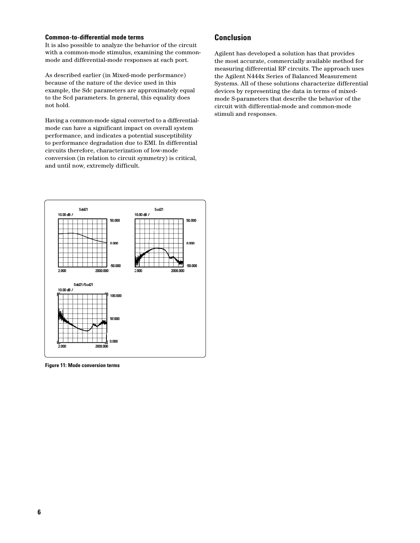#### **Common-to-differential mode terms**

It is also possible to analyze the behavior of the circuit with a common-mode stimulus, examining the commonmode and differential-mode responses at each port.

As described earlier (in Mixed-mode performance) because of the nature of the device used in this example, the Sdc parameters are approximately equal to the Scd parameters. In general, this equality does not hold.

Having a common-mode signal converted to a differentialmode can have a significant impact on overall system performance, and indicates a potential susceptibility to performance degradation due to EMI. In differential circuits therefore, characterization of low-mode conversion (in relation to circuit symmetry) is critical, and until now, extremely difficult.



**Figure 11: Mode conversion terms**

## **Conclusion**

Agilent has developed a solution has that provides the most accurate, commercially available method for measuring differential RF circuits. The approach uses the Agilent N444x Series of Balanced Measurement Systems. All of these solutions characterize differential devices by representing the data in terms of mixedmode S-parameters that describe the behavior of the circuit with differential-mode and common-mode stimuli and responses.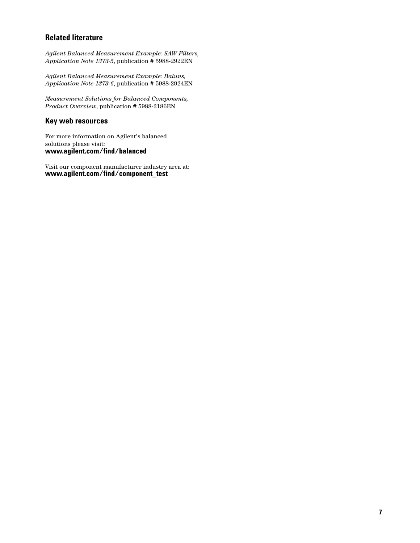## **Related literature**

*Agilent Balanced Measurement Example: SAW Filters, Application Note 1373-5*, publication # 5988-2922EN

*Agilent Balanced Measurement Example: Baluns, Application Note 1373-6*, publication # 5988-2924EN

*Measurement Solutions for Balanced Components, Product Overview*, publication # 5988-2186EN

## **Key web resources**

For more information on Agilent's balanced solutions please visit: **www.agilent.com/find/balanced**

Visit our component manufacturer industry area at: **www.agilent.com/find/component\_test**